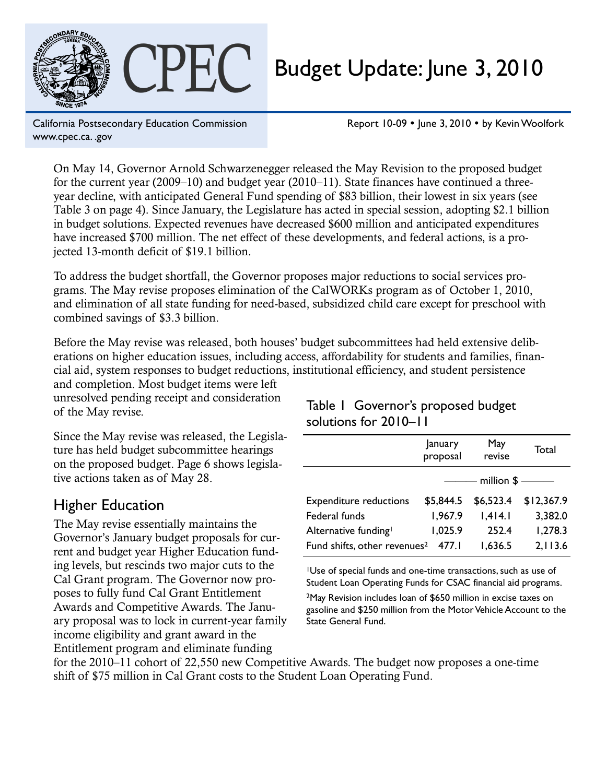

# CPEC Budget Update: June 3, 2010

California Postsecondary Education Commission www.cpec.ca. .gov

Report 10-09 · June 3, 2010 · by Kevin Woolfork

On May 14, Governor Arnold Schwarzenegger released the May Revision to the proposed budget for the current year (2009–10) and budget year (2010–11). State finances have continued a threeyear decline, with anticipated General Fund spending of \$83 billion, their lowest in six years (see Table 3 on page 4). Since January, the Legislature has acted in special session, adopting \$2.1 billion in budget solutions. Expected revenues have decreased \$600 million and anticipated expenditures have increased \$700 million. The net effect of these developments, and federal actions, is a projected 13-month deficit of \$19.1 billion.

To address the budget shortfall, the Governor proposes major reductions to social services programs. The May revise proposes elimination of the CalWORKs program as of October 1, 2010, and elimination of all state funding for need-based, subsidized child care except for preschool with combined savings of \$3.3 billion.

Before the May revise was released, both houses' budget subcommittees had held extensive deliberations on higher education issues, including access, affordability for students and families, financial aid, system responses to budget reductions, institutional efficiency, and student persistence

and completion. Most budget items were left unresolved pending receipt and consideration of the May revise.

Since the May revise was released, the Legislature has held budget subcommittee hearings on the proposed budget. Page 6 shows legislative actions taken as of May 28.

## Higher Education

The May revise essentially maintains the Governor's January budget proposals for current and budget year Higher Education funding levels, but rescinds two major cuts to the Cal Grant program. The Governor now proposes to fully fund Cal Grant Entitlement Awards and Competitive Awards. The January proposal was to lock in current-year family income eligibility and grant award in the Entitlement program and eliminate funding

#### Table 1 Governor's proposed budget solutions for 2010–11

|                                          | January<br>proposal | May<br>revise | Total      |
|------------------------------------------|---------------------|---------------|------------|
|                                          |                     | million \$-   |            |
| <b>Expenditure reductions</b>            | \$5,844.5           | \$6,523.4     | \$12,367.9 |
| Federal funds                            | 1,967.9             | 1,414.1       | 3,382.0    |
| Alternative funding <sup>1</sup>         | 1,025.9             | 252.4         | 1,278.3    |
| Fund shifts, other revenues <sup>2</sup> | 477.I               | 1,636.5       | 2,113.6    |

<sup>1</sup>Use of special funds and one-time transactions, such as use of Student Loan Operating Funds for CSAC financial aid programs.

2May Revision includes loan of \$650 million in excise taxes on gasoline and \$250 million from the Motor Vehicle Account to the State General Fund.

for the 2010–11 cohort of 22,550 new Competitive Awards. The budget now proposes a one-time shift of \$75 million in Cal Grant costs to the Student Loan Operating Fund.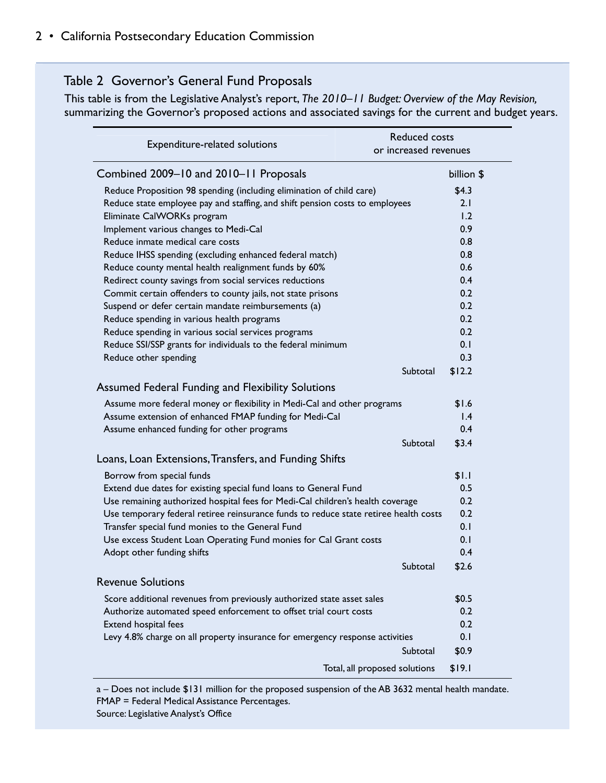#### Table 2 Governor's General Fund Proposals

This table is from the Legislative Analyst's report, *The 2010–11 Budget: Overview of the May Revision,* summarizing the Governor's proposed actions and associated savings for the current and budget years.

| Expenditure-related solutions                                                        | <b>Reduced costs</b><br>or increased revenues |  |
|--------------------------------------------------------------------------------------|-----------------------------------------------|--|
| Combined 2009-10 and 2010-11 Proposals                                               | billion \$                                    |  |
| Reduce Proposition 98 spending (including elimination of child care)                 | \$4.3                                         |  |
| Reduce state employee pay and staffing, and shift pension costs to employees         | 2.1                                           |  |
| Eliminate CalWORKs program                                                           | 1.2                                           |  |
| Implement various changes to Medi-Cal                                                | 0.9                                           |  |
| Reduce inmate medical care costs                                                     | 0.8                                           |  |
| Reduce IHSS spending (excluding enhanced federal match)                              | 0.8                                           |  |
| Reduce county mental health realignment funds by 60%                                 | 0.6                                           |  |
| Redirect county savings from social services reductions                              | 0.4                                           |  |
| Commit certain offenders to county jails, not state prisons                          | 0.2                                           |  |
| Suspend or defer certain mandate reimbursements (a)                                  | 0.2                                           |  |
| Reduce spending in various health programs                                           | 0.2                                           |  |
| Reduce spending in various social services programs                                  | 0.2                                           |  |
| Reduce SSI/SSP grants for individuals to the federal minimum                         | 0.1                                           |  |
| Reduce other spending                                                                | 0.3                                           |  |
|                                                                                      | Subtotal<br>\$12.2                            |  |
| <b>Assumed Federal Funding and Flexibility Solutions</b>                             |                                               |  |
| Assume more federal money or flexibility in Medi-Cal and other programs              | \$1.6                                         |  |
| Assume extension of enhanced FMAP funding for Medi-Cal                               | $\mathsf{I}$ .4                               |  |
| Assume enhanced funding for other programs                                           | 0.4                                           |  |
|                                                                                      | Subtotal<br>\$3.4                             |  |
| Loans, Loan Extensions, Transfers, and Funding Shifts                                |                                               |  |
| Borrow from special funds                                                            | \$1.1                                         |  |
| Extend due dates for existing special fund loans to General Fund                     | 0.5                                           |  |
| Use remaining authorized hospital fees for Medi-Cal children's health coverage       | 0.2                                           |  |
| Use temporary federal retiree reinsurance funds to reduce state retiree health costs | 0.2                                           |  |
| Transfer special fund monies to the General Fund                                     | 0.1                                           |  |
| Use excess Student Loan Operating Fund monies for Cal Grant costs                    | 0.1                                           |  |
| Adopt other funding shifts                                                           | 0.4                                           |  |
|                                                                                      | \$2.6<br>Subtotal                             |  |
| <b>Revenue Solutions</b>                                                             |                                               |  |
| Score additional revenues from previously authorized state asset sales               | \$0.5                                         |  |
| Authorize automated speed enforcement to offset trial court costs                    | 0.2                                           |  |
| Extend hospital fees                                                                 | 0.2                                           |  |
| Levy 4.8% charge on all property insurance for emergency response activities         | 0.1                                           |  |
|                                                                                      | Subtotal<br>\$0.9                             |  |
| Total, all proposed solutions                                                        | \$19.1                                        |  |

a – Does not include \$131 million for the proposed suspension of the AB 3632 mental health mandate. FMAP = Federal Medical Assistance Percentages. Source: Legislative Analyst's Office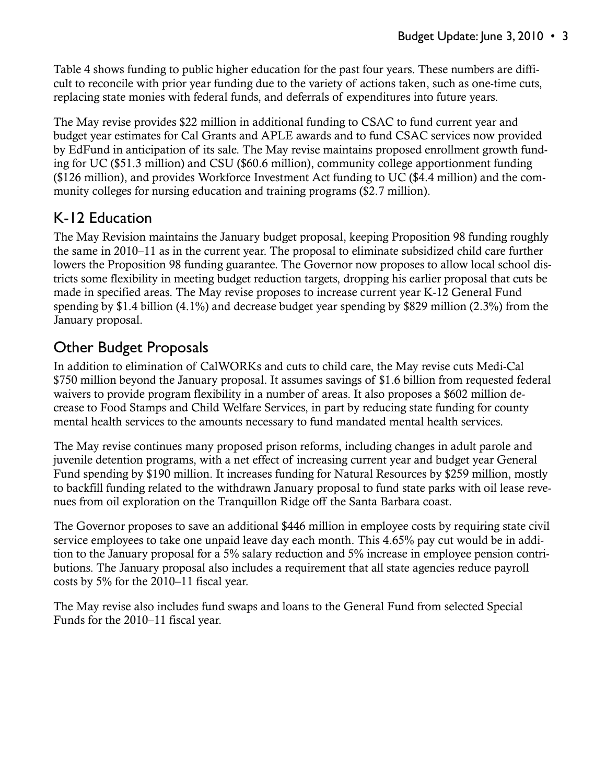Table 4 shows funding to public higher education for the past four years. These numbers are difficult to reconcile with prior year funding due to the variety of actions taken, such as one-time cuts, replacing state monies with federal funds, and deferrals of expenditures into future years.

The May revise provides \$22 million in additional funding to CSAC to fund current year and budget year estimates for Cal Grants and APLE awards and to fund CSAC services now provided by EdFund in anticipation of its sale. The May revise maintains proposed enrollment growth funding for UC (\$51.3 million) and CSU (\$60.6 million), community college apportionment funding (\$126 million), and provides Workforce Investment Act funding to UC (\$4.4 million) and the community colleges for nursing education and training programs (\$2.7 million).

## K-12 Education

The May Revision maintains the January budget proposal, keeping Proposition 98 funding roughly the same in 2010–11 as in the current year. The proposal to eliminate subsidized child care further lowers the Proposition 98 funding guarantee. The Governor now proposes to allow local school districts some flexibility in meeting budget reduction targets, dropping his earlier proposal that cuts be made in specified areas. The May revise proposes to increase current year K-12 General Fund spending by \$1.4 billion (4.1%) and decrease budget year spending by \$829 million (2.3%) from the January proposal.

## Other Budget Proposals

In addition to elimination of CalWORKs and cuts to child care, the May revise cuts Medi-Cal \$750 million beyond the January proposal. It assumes savings of \$1.6 billion from requested federal waivers to provide program flexibility in a number of areas. It also proposes a \$602 million decrease to Food Stamps and Child Welfare Services, in part by reducing state funding for county mental health services to the amounts necessary to fund mandated mental health services.

The May revise continues many proposed prison reforms, including changes in adult parole and juvenile detention programs, with a net effect of increasing current year and budget year General Fund spending by \$190 million. It increases funding for Natural Resources by \$259 million, mostly to backfill funding related to the withdrawn January proposal to fund state parks with oil lease revenues from oil exploration on the Tranquillon Ridge off the Santa Barbara coast.

The Governor proposes to save an additional \$446 million in employee costs by requiring state civil service employees to take one unpaid leave day each month. This 4.65% pay cut would be in addition to the January proposal for a 5% salary reduction and 5% increase in employee pension contributions. The January proposal also includes a requirement that all state agencies reduce payroll costs by 5% for the 2010–11 fiscal year.

The May revise also includes fund swaps and loans to the General Fund from selected Special Funds for the 2010–11 fiscal year.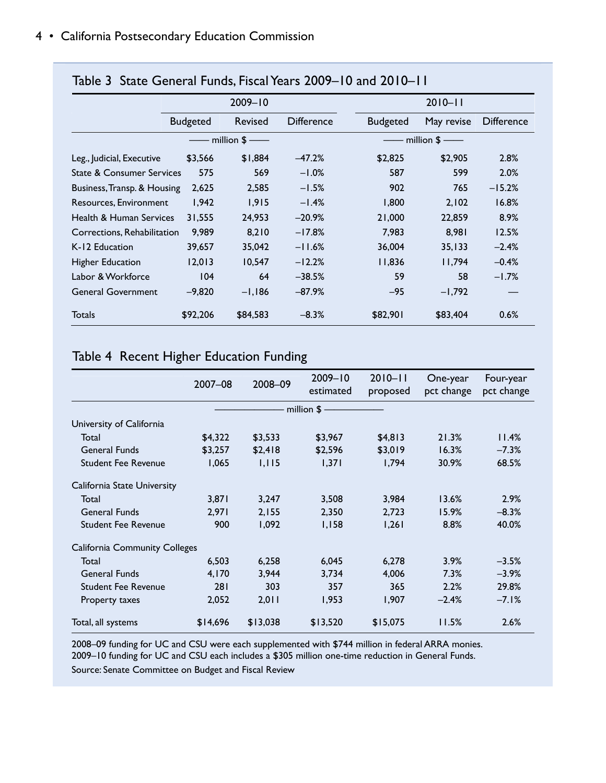|                                      | $2009 - 10$     |          |                   |  | $2010 - 11$     |            |                   |
|--------------------------------------|-----------------|----------|-------------------|--|-----------------|------------|-------------------|
|                                      |                 |          |                   |  |                 |            |                   |
|                                      | <b>Budgeted</b> | Revised  | <b>Difference</b> |  | <b>Budgeted</b> | May revise | <b>Difference</b> |
|                                      | million $$$ —   |          |                   |  | - million $$$ — |            |                   |
| Leg., Judicial, Executive            | \$3,566         | \$1,884  | $-47.2%$          |  | \$2,825         | \$2,905    | 2.8%              |
| <b>State &amp; Consumer Services</b> | 575             | 569      | $-1.0%$           |  | 587             | 599        | 2.0%              |
| Business, Transp. & Housing          | 2,625           | 2,585    | $-1.5%$           |  | 902             | 765        | $-15.2%$          |
| Resources, Environment               | 1,942           | 1,915    | $-1.4%$           |  | 1,800           | 2,102      | 16.8%             |
| Health & Human Services              | 31,555          | 24,953   | $-20.9%$          |  | 21,000          | 22,859     | 8.9%              |
| Corrections, Rehabilitation          | 9,989           | 8,210    | $-17.8%$          |  | 7,983           | 8,981      | 12.5%             |
| K-12 Education                       | 39,657          | 35,042   | $-11.6%$          |  | 36,004          | 35,133     | $-2.4%$           |
| <b>Higher Education</b>              | 12,013          | 10,547   | $-12.2%$          |  | 11,836          | 11,794     | $-0.4%$           |
| Labor & Workforce                    | 104             | 64       | $-38.5%$          |  | 59              | 58         | $-1.7%$           |
| <b>General Government</b>            | $-9,820$        | $-1,186$ | $-87.9%$          |  | -95             | $-1,792$   |                   |
| <b>Totals</b>                        | \$92,206        | \$84,583 | $-8.3%$           |  | \$82,901        | \$83,404   | 0.6%              |

#### Table 3 State General Funds, Fiscal Years 2009–10 and 2010–11

#### Table 4 Recent Higher Education Funding

|                                      | 2007-08  | 2008-09  | $2009 - 10$<br>estimated | $2010 - 11$<br>proposed | One-year<br>pct change | Four-year<br>pct change |
|--------------------------------------|----------|----------|--------------------------|-------------------------|------------------------|-------------------------|
|                                      |          |          | $\cdot$ million \$ —     |                         |                        |                         |
| University of California             |          |          |                          |                         |                        |                         |
| Total                                | \$4,322  | \$3,533  | \$3,967                  | \$4,813                 | 21.3%                  | 11.4%                   |
| <b>General Funds</b>                 | \$3,257  | \$2,418  | \$2,596                  | \$3,019                 | 16.3%                  | $-7.3%$                 |
| <b>Student Fee Revenue</b>           | 1,065    | 1,115    | 1,371                    | 1,794                   | 30.9%                  | 68.5%                   |
| California State University          |          |          |                          |                         |                        |                         |
| Total                                | 3,871    | 3,247    | 3,508                    | 3,984                   | 13.6%                  | 2.9%                    |
| <b>General Funds</b>                 | 2,971    | 2,155    | 2,350                    | 2,723                   | 15.9%                  | $-8.3%$                 |
| <b>Student Fee Revenue</b>           | 900      | 1,092    | 1,158                    | 1,261                   | 8.8%                   | 40.0%                   |
| <b>California Community Colleges</b> |          |          |                          |                         |                        |                         |
| Total                                | 6,503    | 6,258    | 6,045                    | 6,278                   | 3.9%                   | $-3.5%$                 |
| <b>General Funds</b>                 | 4,170    | 3,944    | 3,734                    | 4,006                   | 7.3%                   | $-3.9%$                 |
| <b>Student Fee Revenue</b>           | 281      | 303      | 357                      | 365                     | 2.2%                   | 29.8%                   |
| Property taxes                       | 2,052    | 2,011    | 1,953                    | 1,907                   | $-2.4%$                | $-7.1%$                 |
| Total, all systems                   | \$14,696 | \$13,038 | \$13,520                 | \$15,075                | 11.5%                  | 2.6%                    |

2008–09 funding for UC and CSU were each supplemented with \$744 million in federal ARRA monies. 2009–10 funding for UC and CSU each includes a \$305 million one-time reduction in General Funds. Source: Senate Committee on Budget and Fiscal Review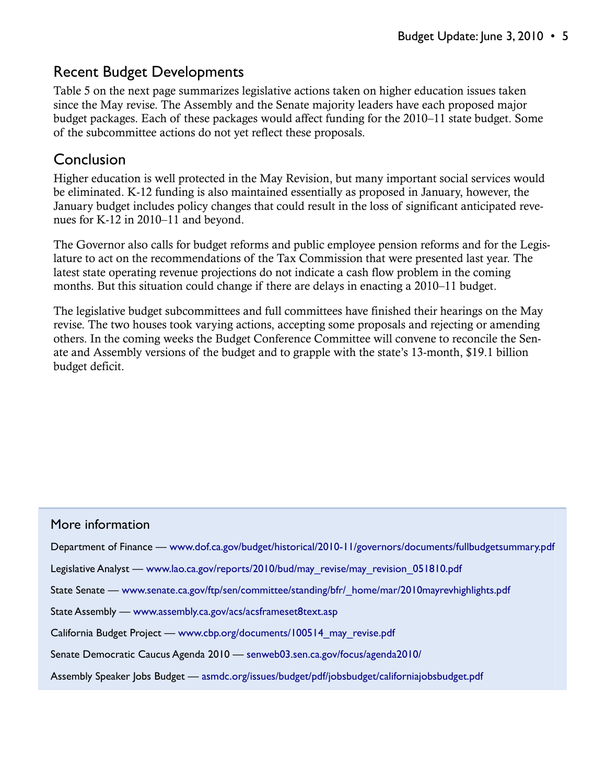## Recent Budget Developments

Table 5 on the next page summarizes legislative actions taken on higher education issues taken since the May revise. The Assembly and the Senate majority leaders have each proposed major budget packages. Each of these packages would affect funding for the 2010–11 state budget. Some of the subcommittee actions do not yet reflect these proposals.

### Conclusion

Higher education is well protected in the May Revision, but many important social services would be eliminated. K-12 funding is also maintained essentially as proposed in January, however, the January budget includes policy changes that could result in the loss of significant anticipated revenues for K-12 in 2010–11 and beyond.

The Governor also calls for budget reforms and public employee pension reforms and for the Legislature to act on the recommendations of the Tax Commission that were presented last year. The latest state operating revenue projections do not indicate a cash flow problem in the coming months. But this situation could change if there are delays in enacting a 2010–11 budget.

The legislative budget subcommittees and full committees have finished their hearings on the May revise. The two houses took varying actions, accepting some proposals and rejecting or amending others. In the coming weeks the Budget Conference Committee will convene to reconcile the Senate and Assembly versions of the budget and to grapple with the state's 13-month, \$19.1 billion budget deficit.

| More information                                                                                           |
|------------------------------------------------------------------------------------------------------------|
| Department of Finance — www.dof.ca.gov/budget/historical/2010-11/governors/documents/fullbudgetsummary.pdf |
| Legislative Analyst — www.lao.ca.gov/reports/2010/bud/may revise/may revision 051810.pdf                   |
| State Senate — www.senate.ca.gov/ftp/sen/committee/standing/bfr/ home/mar/2010mayrevhighlights.pdf         |
| State Assembly — www.assembly.ca.gov/acs/acsframeset8text.asp                                              |
| California Budget Project — www.cbp.org/documents/100514 may revise.pdf                                    |
| Senate Democratic Caucus Agenda 2010 — senweb03.sen.ca.gov/focus/agenda2010/                               |
| Assembly Speaker Jobs Budget — asmdc.org/issues/budget/pdf/jobsbudget/californiajobsbudget.pdf             |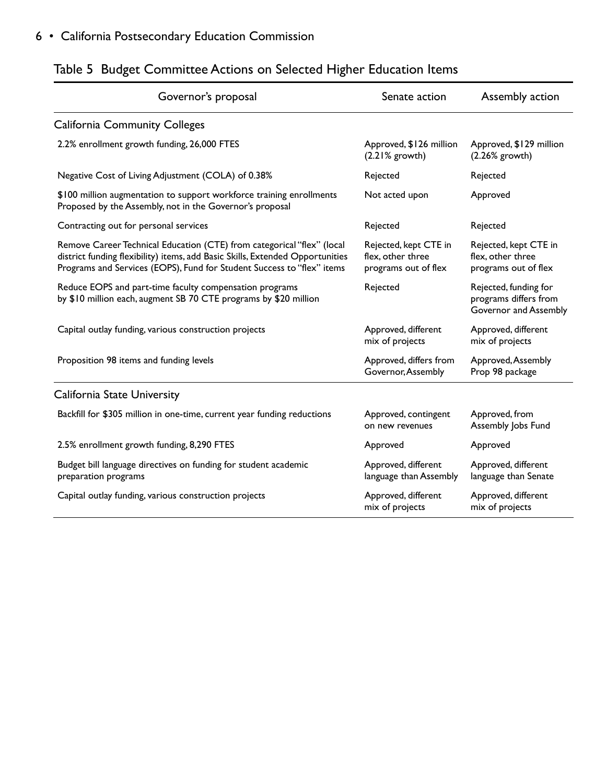| Governor's proposal                                                                                                                                                                                                               | Senate action                                                      | Assembly action                                                         |
|-----------------------------------------------------------------------------------------------------------------------------------------------------------------------------------------------------------------------------------|--------------------------------------------------------------------|-------------------------------------------------------------------------|
| <b>California Community Colleges</b>                                                                                                                                                                                              |                                                                    |                                                                         |
| 2.2% enrollment growth funding, 26,000 FTES                                                                                                                                                                                       | Approved, \$126 million<br>$(2.21%$ growth)                        | Approved, \$129 million<br>$(2.26%$ growth)                             |
| Negative Cost of Living Adjustment (COLA) of 0.38%                                                                                                                                                                                | Rejected                                                           | Rejected                                                                |
| \$100 million augmentation to support workforce training enrollments<br>Proposed by the Assembly, not in the Governor's proposal                                                                                                  | Not acted upon                                                     | Approved                                                                |
| Contracting out for personal services                                                                                                                                                                                             | Rejected                                                           | Rejected                                                                |
| Remove Career Technical Education (CTE) from categorical "flex" (local<br>district funding flexibility) items, add Basic Skills, Extended Opportunities<br>Programs and Services (EOPS), Fund for Student Success to "flex" items | Rejected, kept CTE in<br>flex, other three<br>programs out of flex | Rejected, kept CTE in<br>flex, other three<br>programs out of flex      |
| Reduce EOPS and part-time faculty compensation programs<br>by \$10 million each, augment SB 70 CTE programs by \$20 million                                                                                                       | Rejected                                                           | Rejected, funding for<br>programs differs from<br>Governor and Assembly |
| Capital outlay funding, various construction projects                                                                                                                                                                             | Approved, different<br>mix of projects                             | Approved, different<br>mix of projects                                  |
| Proposition 98 items and funding levels                                                                                                                                                                                           | Approved, differs from<br>Governor, Assembly                       | Approved, Assembly<br>Prop 98 package                                   |
| California State University                                                                                                                                                                                                       |                                                                    |                                                                         |
| Backfill for \$305 million in one-time, current year funding reductions                                                                                                                                                           | Approved, contingent<br>on new revenues                            | Approved, from<br>Assembly Jobs Fund                                    |
| 2.5% enrollment growth funding, 8,290 FTES                                                                                                                                                                                        | Approved                                                           | Approved                                                                |
| Budget bill language directives on funding for student academic<br>preparation programs                                                                                                                                           | Approved, different<br>language than Assembly                      | Approved, different<br>language than Senate                             |
| Capital outlay funding, various construction projects                                                                                                                                                                             | Approved, different<br>mix of projects                             | Approved, different<br>mix of projects                                  |

# Table 5 Budget Committee Actions on Selected Higher Education Items